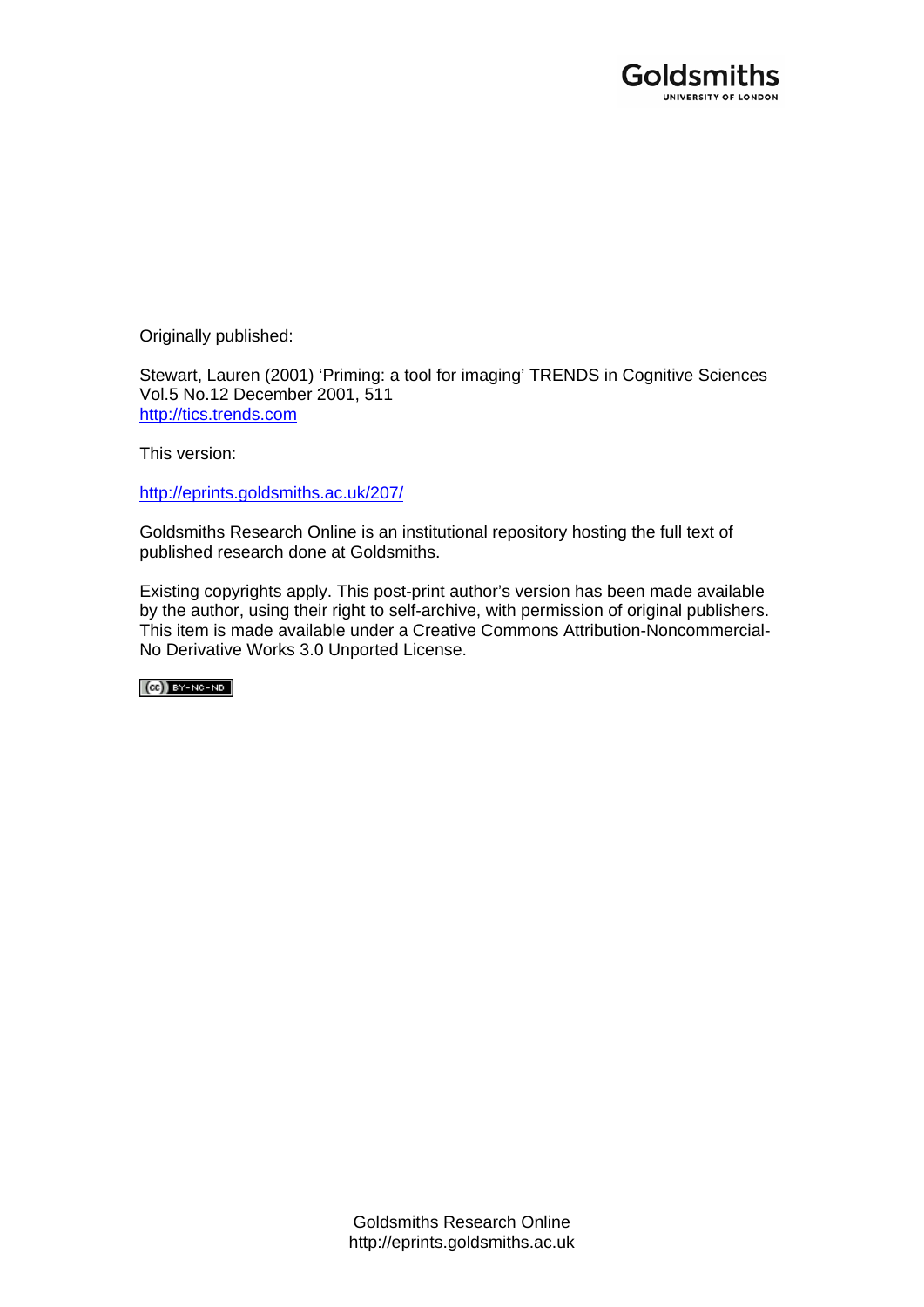

Originally published:

Stewart, Lauren (2001) 'Priming: a tool for imaging' TRENDS in Cognitive Sciences Vol.5 No.12 December 2001, 511 [http://tics.trends.com](http://tics.trends.com/)

This version:

[http://eprints.goldsmiths.ac.uk/207/](http://eprints.goldsmiths.ac.uk/211/)

Goldsmiths Research Online is an institutional repository hosting the full text of published research done at Goldsmiths.

Existing copyrights apply. This post-print author's version has been made available by the author, using their right to self-archive, with permission of original publishers. This item is made available under a Creative Commons Attribution-Noncommercial-No Derivative Works 3.0 Unported License.

 $(c)$  BY-NC-ND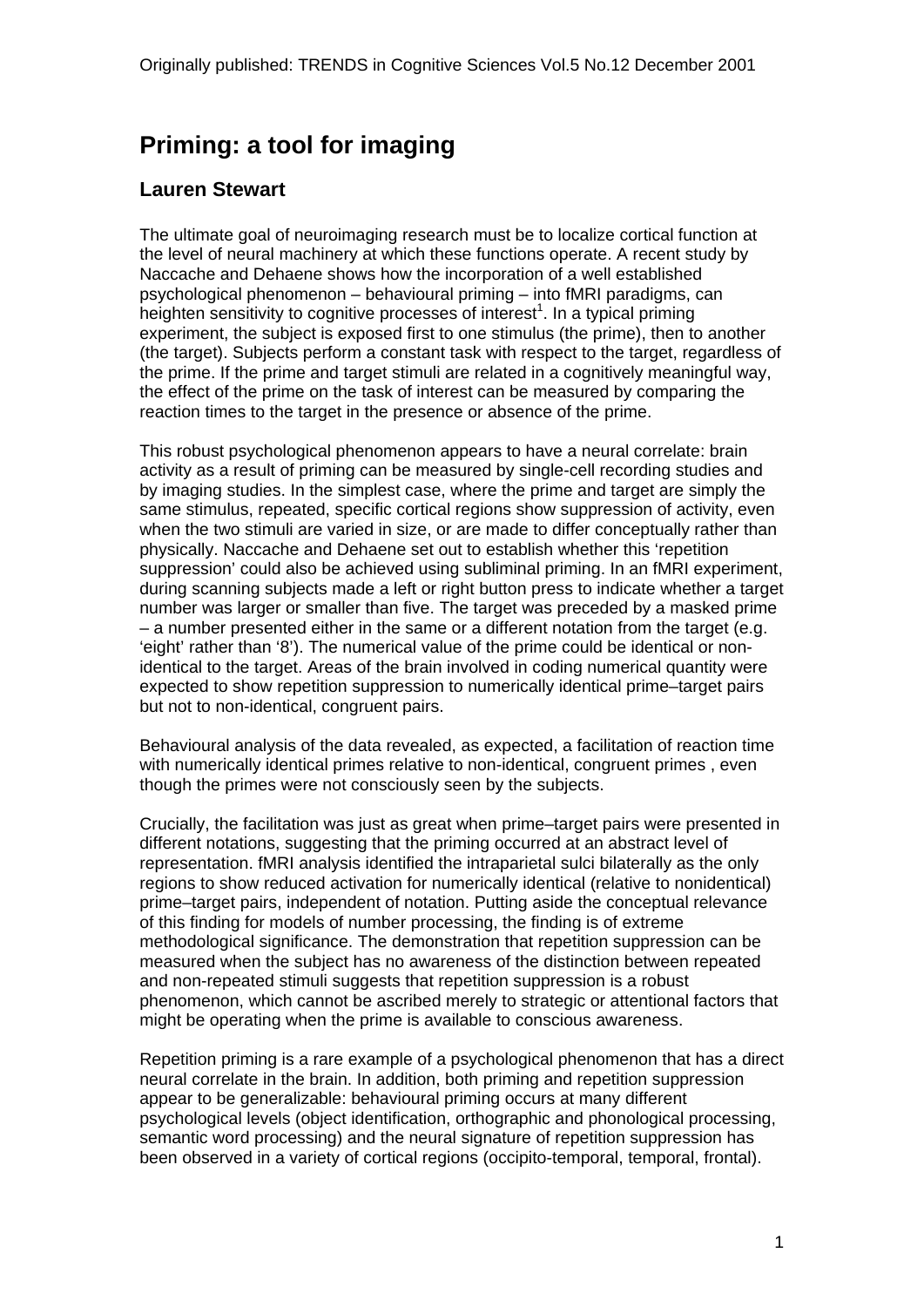## **Priming: a tool for imaging**

## **Lauren Stewart**

The ultimate goal of neuroimaging research must be to localize cortical function at the level of neural machinery at which these functions operate. A recent study by Naccache and Dehaene shows how the incorporation of a well established psychological phenomenon – behavioural priming – into fMRI paradigms, can heighten sensitivity to cognitive processes of interest<sup>1</sup>. In a typical priming experiment, the subject is exposed first to one stimulus (the prime), then to another (the target). Subjects perform a constant task with respect to the target, regardless of the prime. If the prime and target stimuli are related in a cognitively meaningful way, the effect of the prime on the task of interest can be measured by comparing the reaction times to the target in the presence or absence of the prime.

This robust psychological phenomenon appears to have a neural correlate: brain activity as a result of priming can be measured by single-cell recording studies and by imaging studies. In the simplest case, where the prime and target are simply the same stimulus, repeated, specific cortical regions show suppression of activity, even when the two stimuli are varied in size, or are made to differ conceptually rather than physically. Naccache and Dehaene set out to establish whether this 'repetition suppression' could also be achieved using subliminal priming. In an fMRI experiment, during scanning subjects made a left or right button press to indicate whether a target number was larger or smaller than five. The target was preceded by a masked prime – a number presented either in the same or a different notation from the target (e.g. 'eight' rather than '8'). The numerical value of the prime could be identical or nonidentical to the target. Areas of the brain involved in coding numerical quantity were expected to show repetition suppression to numerically identical prime–target pairs but not to non-identical, congruent pairs.

Behavioural analysis of the data revealed, as expected, a facilitation of reaction time with numerically identical primes relative to non-identical, congruent primes , even though the primes were not consciously seen by the subjects.

Crucially, the facilitation was just as great when prime–target pairs were presented in different notations, suggesting that the priming occurred at an abstract level of representation. fMRI analysis identified the intraparietal sulci bilaterally as the only regions to show reduced activation for numerically identical (relative to nonidentical) prime–target pairs, independent of notation. Putting aside the conceptual relevance of this finding for models of number processing, the finding is of extreme methodological significance. The demonstration that repetition suppression can be measured when the subject has no awareness of the distinction between repeated and non-repeated stimuli suggests that repetition suppression is a robust phenomenon, which cannot be ascribed merely to strategic or attentional factors that might be operating when the prime is available to conscious awareness.

Repetition priming is a rare example of a psychological phenomenon that has a direct neural correlate in the brain. In addition, both priming and repetition suppression appear to be generalizable: behavioural priming occurs at many different psychological levels (object identification, orthographic and phonological processing, semantic word processing) and the neural signature of repetition suppression has been observed in a variety of cortical regions (occipito-temporal, temporal, frontal).